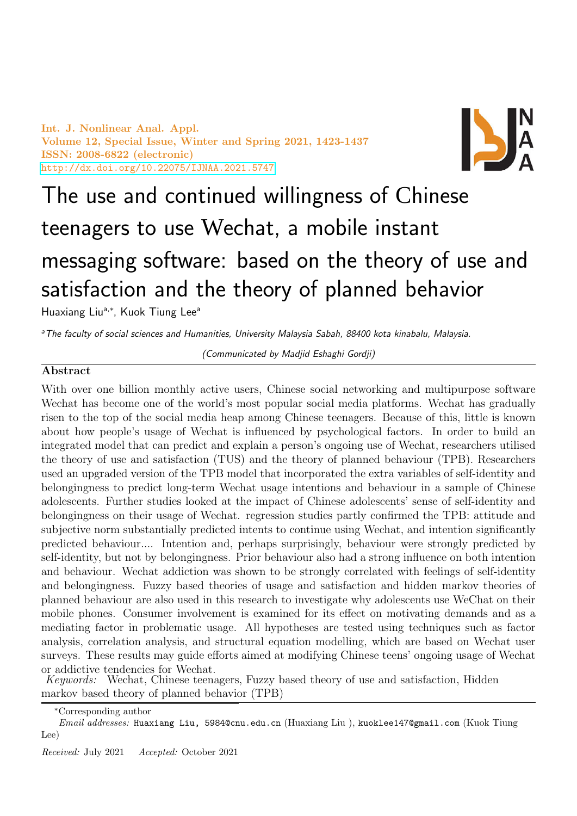Int. J. Nonlinear Anal. Appl. Volume 12, Special Issue, Winter and Spring 2021, 1423-1437 ISSN: 2008-6822 (electronic) <http://dx.doi.org/10.22075/IJNAA.2021.5747>



# The use and continued willingness of Chinese teenagers to use Wechat, a mobile instant messaging software: based on the theory of use and satisfaction and the theory of planned behavior

Huaxiang Liu<sup>a,\*</sup>, Kuok Tiung Lee<sup>a</sup>

<sup>a</sup>The faculty of social sciences and Humanities, University Malaysia Sabah, 88400 kota kinabalu, Malaysia.

(Communicated by Madjid Eshaghi Gordji)

# Abstract

With over one billion monthly active users, Chinese social networking and multipurpose software Wechat has become one of the world's most popular social media platforms. Wechat has gradually risen to the top of the social media heap among Chinese teenagers. Because of this, little is known about how people's usage of Wechat is influenced by psychological factors. In order to build an integrated model that can predict and explain a person's ongoing use of Wechat, researchers utilised the theory of use and satisfaction (TUS) and the theory of planned behaviour (TPB). Researchers used an upgraded version of the TPB model that incorporated the extra variables of self-identity and belongingness to predict long-term Wechat usage intentions and behaviour in a sample of Chinese adolescents. Further studies looked at the impact of Chinese adolescents' sense of self-identity and belongingness on their usage of Wechat. regression studies partly confirmed the TPB: attitude and subjective norm substantially predicted intents to continue using Wechat, and intention significantly predicted behaviour.... Intention and, perhaps surprisingly, behaviour were strongly predicted by self-identity, but not by belongingness. Prior behaviour also had a strong influence on both intention and behaviour. Wechat addiction was shown to be strongly correlated with feelings of self-identity and belongingness. Fuzzy based theories of usage and satisfaction and hidden markov theories of planned behaviour are also used in this research to investigate why adolescents use WeChat on their mobile phones. Consumer involvement is examined for its effect on motivating demands and as a mediating factor in problematic usage. All hypotheses are tested using techniques such as factor analysis, correlation analysis, and structural equation modelling, which are based on Wechat user surveys. These results may guide efforts aimed at modifying Chinese teens' ongoing usage of Wechat or addictive tendencies for Wechat.

Keywords: Wechat, Chinese teenagers, Fuzzy based theory of use and satisfaction, Hidden markov based theory of planned behavior (TPB)

<sup>∗</sup>Corresponding author

Email addresses: Huaxiang Liu, 5984@cnu.edu.cn (Huaxiang Liu), kuoklee147@gmail.com (Kuok Tiung Lee)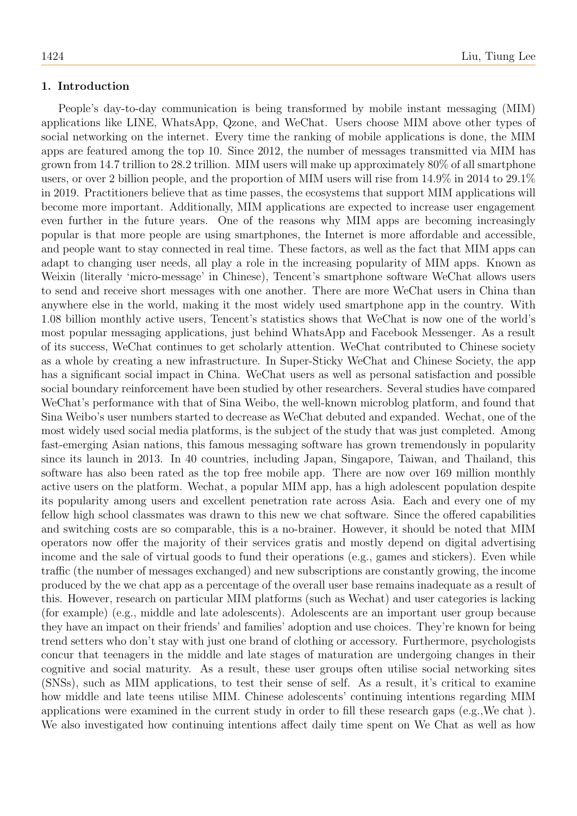## 1. Introduction

People's day-to-day communication is being transformed by mobile instant messaging (MIM) applications like LINE, WhatsApp, Qzone, and WeChat. Users choose MIM above other types of social networking on the internet. Every time the ranking of mobile applications is done, the MIM apps are featured among the top 10. Since 2012, the number of messages transmitted via MIM has grown from 14.7 trillion to 28.2 trillion. MIM users will make up approximately 80% of all smartphone users, or over 2 billion people, and the proportion of MIM users will rise from 14.9% in 2014 to 29.1% in 2019. Practitioners believe that as time passes, the ecosystems that support MIM applications will become more important. Additionally, MIM applications are expected to increase user engagement even further in the future years. One of the reasons why MIM apps are becoming increasingly popular is that more people are using smartphones, the Internet is more affordable and accessible, and people want to stay connected in real time. These factors, as well as the fact that MIM apps can adapt to changing user needs, all play a role in the increasing popularity of MIM apps. Known as Weixin (literally 'micro-message' in Chinese), Tencent's smartphone software WeChat allows users to send and receive short messages with one another. There are more WeChat users in China than anywhere else in the world, making it the most widely used smartphone app in the country. With 1.08 billion monthly active users, Tencent's statistics shows that WeChat is now one of the world's most popular messaging applications, just behind WhatsApp and Facebook Messenger. As a result of its success, WeChat continues to get scholarly attention. WeChat contributed to Chinese society as a whole by creating a new infrastructure. In Super-Sticky WeChat and Chinese Society, the app has a significant social impact in China. WeChat users as well as personal satisfaction and possible social boundary reinforcement have been studied by other researchers. Several studies have compared WeChat's performance with that of Sina Weibo, the well-known microblog platform, and found that Sina Weibo's user numbers started to decrease as WeChat debuted and expanded. Wechat, one of the most widely used social media platforms, is the subject of the study that was just completed. Among fast-emerging Asian nations, this famous messaging software has grown tremendously in popularity since its launch in 2013. In 40 countries, including Japan, Singapore, Taiwan, and Thailand, this software has also been rated as the top free mobile app. There are now over 169 million monthly active users on the platform. Wechat, a popular MIM app, has a high adolescent population despite its popularity among users and excellent penetration rate across Asia. Each and every one of my fellow high school classmates was drawn to this new we chat software. Since the offered capabilities and switching costs are so comparable, this is a no-brainer. However, it should be noted that MIM operators now offer the majority of their services gratis and mostly depend on digital advertising income and the sale of virtual goods to fund their operations (e.g., games and stickers). Even while traffic (the number of messages exchanged) and new subscriptions are constantly growing, the income produced by the we chat app as a percentage of the overall user base remains inadequate as a result of this. However, research on particular MIM platforms (such as Wechat) and user categories is lacking (for example) (e.g., middle and late adolescents). Adolescents are an important user group because they have an impact on their friends' and families' adoption and use choices. They're known for being trend setters who don't stay with just one brand of clothing or accessory. Furthermore, psychologists concur that teenagers in the middle and late stages of maturation are undergoing changes in their cognitive and social maturity. As a result, these user groups often utilise social networking sites (SNSs), such as MIM applications, to test their sense of self. As a result, it's critical to examine how middle and late teens utilise MIM. Chinese adolescents' continuing intentions regarding MIM applications were examined in the current study in order to fill these research gaps (e.g.,We chat ). We also investigated how continuing intentions affect daily time spent on We Chat as well as how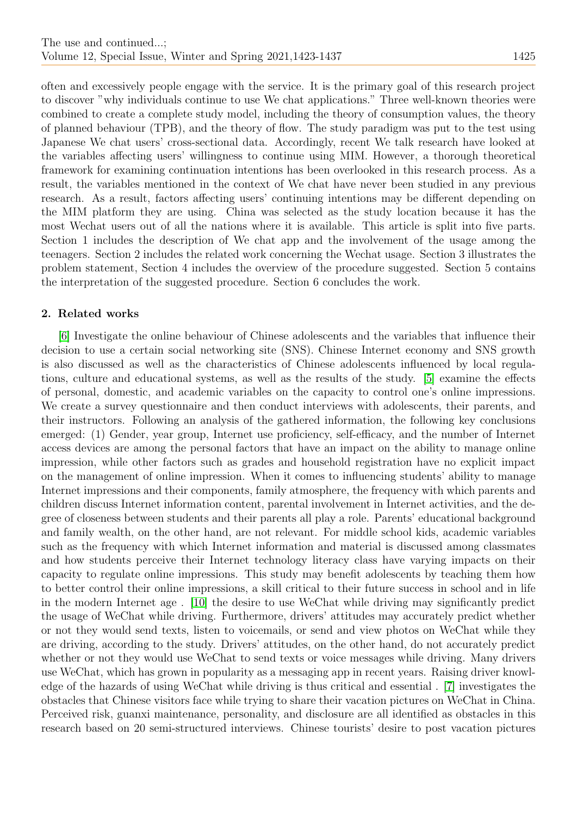often and excessively people engage with the service. It is the primary goal of this research project to discover "why individuals continue to use We chat applications." Three well-known theories were combined to create a complete study model, including the theory of consumption values, the theory of planned behaviour (TPB), and the theory of flow. The study paradigm was put to the test using Japanese We chat users' cross-sectional data. Accordingly, recent We talk research have looked at the variables affecting users' willingness to continue using MIM. However, a thorough theoretical framework for examining continuation intentions has been overlooked in this research process. As a result, the variables mentioned in the context of We chat have never been studied in any previous research. As a result, factors affecting users' continuing intentions may be different depending on the MIM platform they are using. China was selected as the study location because it has the most Wechat users out of all the nations where it is available. This article is split into five parts. Section 1 includes the description of We chat app and the involvement of the usage among the teenagers. Section 2 includes the related work concerning the Wechat usage. Section 3 illustrates the problem statement, Section 4 includes the overview of the procedure suggested. Section 5 contains the interpretation of the suggested procedure. Section 6 concludes the work.

# 2. Related works

[\[6\]](#page-14-0) Investigate the online behaviour of Chinese adolescents and the variables that influence their decision to use a certain social networking site (SNS). Chinese Internet economy and SNS growth is also discussed as well as the characteristics of Chinese adolescents influenced by local regulations, culture and educational systems, as well as the results of the study. [\[5\]](#page-14-1) examine the effects of personal, domestic, and academic variables on the capacity to control one's online impressions. We create a survey questionnaire and then conduct interviews with adolescents, their parents, and their instructors. Following an analysis of the gathered information, the following key conclusions emerged: (1) Gender, year group, Internet use proficiency, self-efficacy, and the number of Internet access devices are among the personal factors that have an impact on the ability to manage online impression, while other factors such as grades and household registration have no explicit impact on the management of online impression. When it comes to influencing students' ability to manage Internet impressions and their components, family atmosphere, the frequency with which parents and children discuss Internet information content, parental involvement in Internet activities, and the degree of closeness between students and their parents all play a role. Parents' educational background and family wealth, on the other hand, are not relevant. For middle school kids, academic variables such as the frequency with which Internet information and material is discussed among classmates and how students perceive their Internet technology literacy class have varying impacts on their capacity to regulate online impressions. This study may benefit adolescents by teaching them how to better control their online impressions, a skill critical to their future success in school and in life in the modern Internet age . [\[10\]](#page-14-2) the desire to use WeChat while driving may significantly predict the usage of WeChat while driving. Furthermore, drivers' attitudes may accurately predict whether or not they would send texts, listen to voicemails, or send and view photos on WeChat while they are driving, according to the study. Drivers' attitudes, on the other hand, do not accurately predict whether or not they would use WeChat to send texts or voice messages while driving. Many drivers use WeChat, which has grown in popularity as a messaging app in recent years. Raising driver knowledge of the hazards of using WeChat while driving is thus critical and essential . [\[7\]](#page-14-3) investigates the obstacles that Chinese visitors face while trying to share their vacation pictures on WeChat in China. Perceived risk, guanxi maintenance, personality, and disclosure are all identified as obstacles in this research based on 20 semi-structured interviews. Chinese tourists' desire to post vacation pictures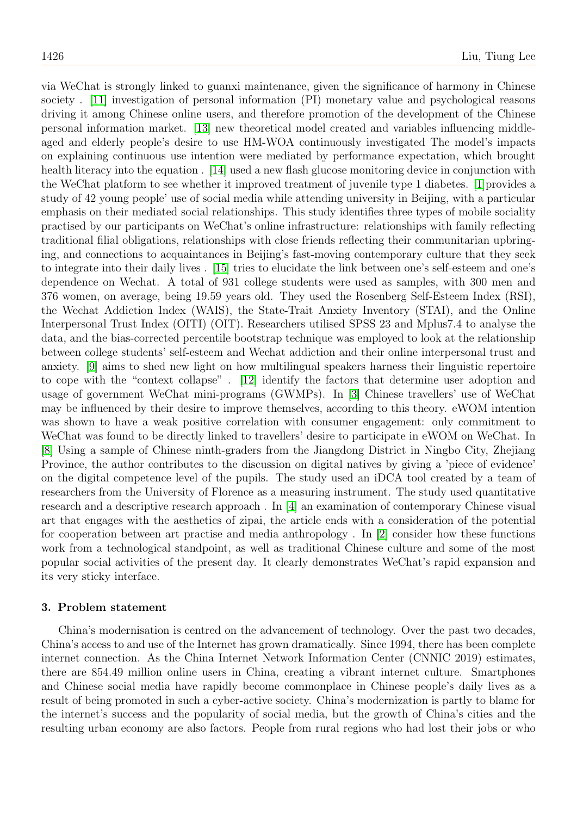via WeChat is strongly linked to guanxi maintenance, given the significance of harmony in Chinese society . [\[11\]](#page-14-4) investigation of personal information (PI) monetary value and psychological reasons driving it among Chinese online users, and therefore promotion of the development of the Chinese personal information market. [\[13\]](#page-14-5) new theoretical model created and variables influencing middleaged and elderly people's desire to use HM-WOA continuously investigated The model's impacts on explaining continuous use intention were mediated by performance expectation, which brought health literacy into the equation . [\[14\]](#page-14-6) used a new flash glucose monitoring device in conjunction with the WeChat platform to see whether it improved treatment of juvenile type 1 diabetes. [\[1\]](#page-14-7)provides a study of 42 young people' use of social media while attending university in Beijing, with a particular emphasis on their mediated social relationships. This study identifies three types of mobile sociality practised by our participants on WeChat's online infrastructure: relationships with family reflecting traditional filial obligations, relationships with close friends reflecting their communitarian upbringing, and connections to acquaintances in Beijing's fast-moving contemporary culture that they seek to integrate into their daily lives . [\[15\]](#page-14-8) tries to elucidate the link between one's self-esteem and one's dependence on Wechat. A total of 931 college students were used as samples, with 300 men and 376 women, on average, being 19.59 years old. They used the Rosenberg Self-Esteem Index (RSI), the Wechat Addiction Index (WAIS), the State-Trait Anxiety Inventory (STAI), and the Online Interpersonal Trust Index (OITI) (OIT). Researchers utilised SPSS 23 and Mplus7.4 to analyse the data, and the bias-corrected percentile bootstrap technique was employed to look at the relationship between college students' self-esteem and Wechat addiction and their online interpersonal trust and anxiety. [\[9\]](#page-14-9) aims to shed new light on how multilingual speakers harness their linguistic repertoire to cope with the "context collapse" . [\[12\]](#page-14-10) identify the factors that determine user adoption and usage of government WeChat mini-programs (GWMPs). In [\[3\]](#page-14-11) Chinese travellers' use of WeChat may be influenced by their desire to improve themselves, according to this theory. eWOM intention was shown to have a weak positive correlation with consumer engagement: only commitment to WeChat was found to be directly linked to travellers' desire to participate in eWOM on WeChat. In [\[8\]](#page-14-12) Using a sample of Chinese ninth-graders from the Jiangdong District in Ningbo City, Zhejiang Province, the author contributes to the discussion on digital natives by giving a 'piece of evidence' on the digital competence level of the pupils. The study used an iDCA tool created by a team of researchers from the University of Florence as a measuring instrument. The study used quantitative research and a descriptive research approach . In [\[4\]](#page-14-13) an examination of contemporary Chinese visual art that engages with the aesthetics of zipai, the article ends with a consideration of the potential for cooperation between art practise and media anthropology . In [\[2\]](#page-14-14) consider how these functions work from a technological standpoint, as well as traditional Chinese culture and some of the most popular social activities of the present day. It clearly demonstrates WeChat's rapid expansion and its very sticky interface.

## 3. Problem statement

China's modernisation is centred on the advancement of technology. Over the past two decades, China's access to and use of the Internet has grown dramatically. Since 1994, there has been complete internet connection. As the China Internet Network Information Center (CNNIC 2019) estimates, there are 854.49 million online users in China, creating a vibrant internet culture. Smartphones and Chinese social media have rapidly become commonplace in Chinese people's daily lives as a result of being promoted in such a cyber-active society. China's modernization is partly to blame for the internet's success and the popularity of social media, but the growth of China's cities and the resulting urban economy are also factors. People from rural regions who had lost their jobs or who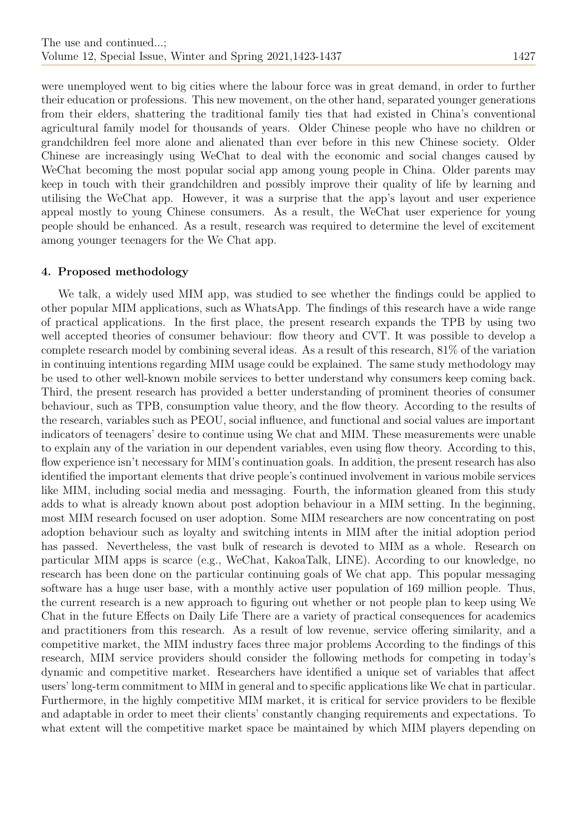were unemployed went to big cities where the labour force was in great demand, in order to further their education or professions. This new movement, on the other hand, separated younger generations from their elders, shattering the traditional family ties that had existed in China's conventional agricultural family model for thousands of years. Older Chinese people who have no children or grandchildren feel more alone and alienated than ever before in this new Chinese society. Older Chinese are increasingly using WeChat to deal with the economic and social changes caused by WeChat becoming the most popular social app among young people in China. Older parents may keep in touch with their grandchildren and possibly improve their quality of life by learning and utilising the WeChat app. However, it was a surprise that the app's layout and user experience appeal mostly to young Chinese consumers. As a result, the WeChat user experience for young people should be enhanced. As a result, research was required to determine the level of excitement among younger teenagers for the We Chat app.

## 4. Proposed methodology

We talk, a widely used MIM app, was studied to see whether the findings could be applied to other popular MIM applications, such as WhatsApp. The findings of this research have a wide range of practical applications. In the first place, the present research expands the TPB by using two well accepted theories of consumer behaviour: flow theory and CVT. It was possible to develop a complete research model by combining several ideas. As a result of this research, 81% of the variation in continuing intentions regarding MIM usage could be explained. The same study methodology may be used to other well-known mobile services to better understand why consumers keep coming back. Third, the present research has provided a better understanding of prominent theories of consumer behaviour, such as TPB, consumption value theory, and the flow theory. According to the results of the research, variables such as PEOU, social influence, and functional and social values are important indicators of teenagers' desire to continue using We chat and MIM. These measurements were unable to explain any of the variation in our dependent variables, even using flow theory. According to this, flow experience isn't necessary for MIM's continuation goals. In addition, the present research has also identified the important elements that drive people's continued involvement in various mobile services like MIM, including social media and messaging. Fourth, the information gleaned from this study adds to what is already known about post adoption behaviour in a MIM setting. In the beginning, most MIM research focused on user adoption. Some MIM researchers are now concentrating on post adoption behaviour such as loyalty and switching intents in MIM after the initial adoption period has passed. Nevertheless, the vast bulk of research is devoted to MIM as a whole. Research on particular MIM apps is scarce (e.g., WeChat, KakoaTalk, LINE). According to our knowledge, no research has been done on the particular continuing goals of We chat app. This popular messaging software has a huge user base, with a monthly active user population of 169 million people. Thus, the current research is a new approach to figuring out whether or not people plan to keep using We Chat in the future Effects on Daily Life There are a variety of practical consequences for academics and practitioners from this research. As a result of low revenue, service offering similarity, and a competitive market, the MIM industry faces three major problems According to the findings of this research, MIM service providers should consider the following methods for competing in today's dynamic and competitive market. Researchers have identified a unique set of variables that affect users' long-term commitment to MIM in general and to specific applications like We chat in particular. Furthermore, in the highly competitive MIM market, it is critical for service providers to be flexible and adaptable in order to meet their clients' constantly changing requirements and expectations. To what extent will the competitive market space be maintained by which MIM players depending on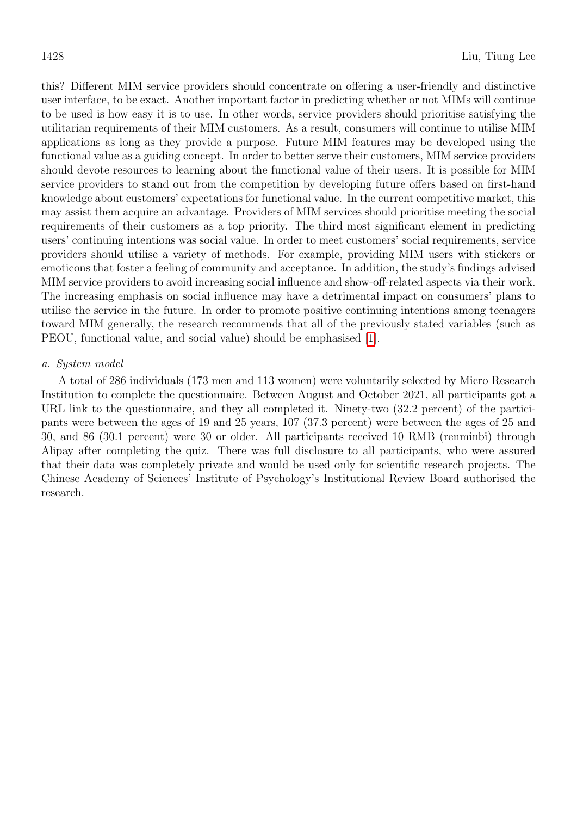this? Different MIM service providers should concentrate on offering a user-friendly and distinctive user interface, to be exact. Another important factor in predicting whether or not MIMs will continue to be used is how easy it is to use. In other words, service providers should prioritise satisfying the utilitarian requirements of their MIM customers. As a result, consumers will continue to utilise MIM applications as long as they provide a purpose. Future MIM features may be developed using the functional value as a guiding concept. In order to better serve their customers, MIM service providers should devote resources to learning about the functional value of their users. It is possible for MIM service providers to stand out from the competition by developing future offers based on first-hand knowledge about customers' expectations for functional value. In the current competitive market, this may assist them acquire an advantage. Providers of MIM services should prioritise meeting the social requirements of their customers as a top priority. The third most significant element in predicting users' continuing intentions was social value. In order to meet customers' social requirements, service providers should utilise a variety of methods. For example, providing MIM users with stickers or emoticons that foster a feeling of community and acceptance. In addition, the study's findings advised MIM service providers to avoid increasing social influence and show-off-related aspects via their work. The increasing emphasis on social influence may have a detrimental impact on consumers' plans to utilise the service in the future. In order to promote positive continuing intentions among teenagers toward MIM generally, the research recommends that all of the previously stated variables (such as PEOU, functional value, and social value) should be emphasised [\[1\]](#page-6-0).

#### a. System model

A total of 286 individuals (173 men and 113 women) were voluntarily selected by Micro Research Institution to complete the questionnaire. Between August and October 2021, all participants got a URL link to the questionnaire, and they all completed it. Ninety-two  $(32.2 \text{ percent})$  of the participants were between the ages of 19 and 25 years, 107 (37.3 percent) were between the ages of 25 and 30, and 86 (30.1 percent) were 30 or older. All participants received 10 RMB (renminbi) through Alipay after completing the quiz. There was full disclosure to all participants, who were assured that their data was completely private and would be used only for scientific research projects. The Chinese Academy of Sciences' Institute of Psychology's Institutional Review Board authorised the research.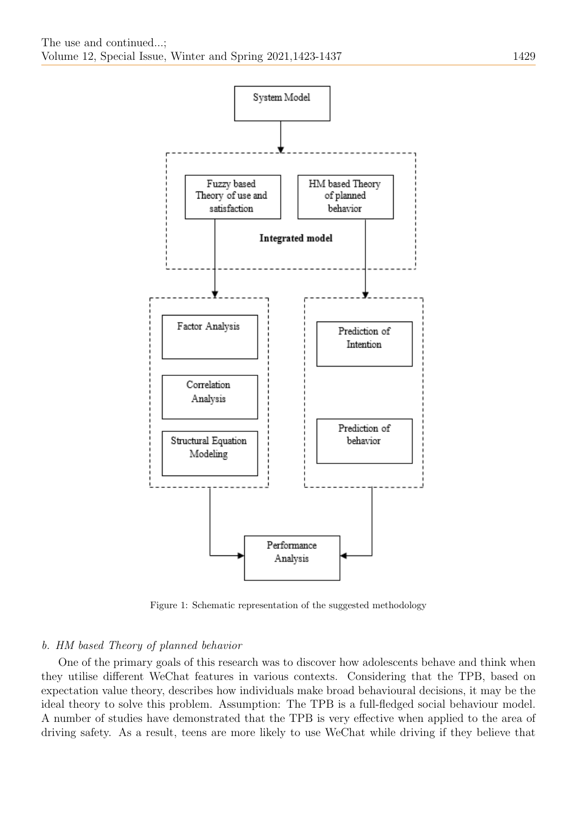

<span id="page-6-0"></span>Figure 1: Schematic representation of the suggested methodology

## b. HM based Theory of planned behavior

One of the primary goals of this research was to discover how adolescents behave and think when they utilise different WeChat features in various contexts. Considering that the TPB, based on expectation value theory, describes how individuals make broad behavioural decisions, it may be the ideal theory to solve this problem. Assumption: The TPB is a full-fledged social behaviour model. A number of studies have demonstrated that the TPB is very effective when applied to the area of driving safety. As a result, teens are more likely to use WeChat while driving if they believe that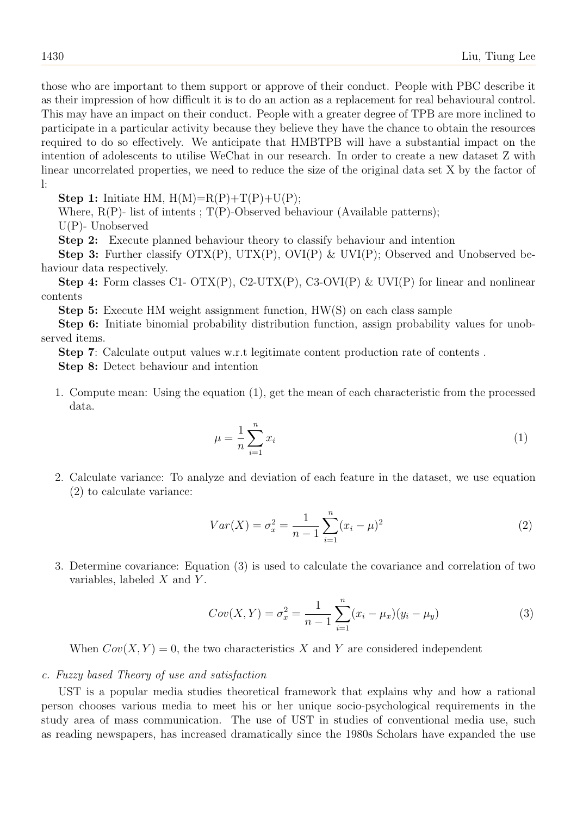those who are important to them support or approve of their conduct. People with PBC describe it as their impression of how difficult it is to do an action as a replacement for real behavioural control. This may have an impact on their conduct. People with a greater degree of TPB are more inclined to participate in a particular activity because they believe they have the chance to obtain the resources required to do so effectively. We anticipate that HMBTPB will have a substantial impact on the intention of adolescents to utilise WeChat in our research. In order to create a new dataset Z with linear uncorrelated properties, we need to reduce the size of the original data set X by the factor of l:

**Step 1:** Initiate HM,  $H(M)=R(P)+T(P)+U(P)$ ;

Where,  $R(P)$ - list of intents;  $T(P)$ -Observed behaviour (Available patterns);

U(P)- Unobserved

Step 2: Execute planned behaviour theory to classify behaviour and intention

**Step 3:** Further classify  $\text{OTX}(P)$ ,  $\text{UTX}(P)$ ,  $\text{OVI}(P)$  &  $\text{UVI}(P)$ ; Observed and Unobserved behaviour data respectively.

**Step 4:** Form classes C1- OTX(P), C2-UTX(P), C3-OVI(P) & UVI(P) for linear and nonlinear contents

Step 5: Execute HM weight assignment function, HW(S) on each class sample

Step 6: Initiate binomial probability distribution function, assign probability values for unobserved items.

Step 7: Calculate output values w.r.t legitimate content production rate of contents .

Step 8: Detect behaviour and intention

1. Compute mean: Using the equation (1), get the mean of each characteristic from the processed data.

$$
\mu = \frac{1}{n} \sum_{i=1}^{n} x_i \tag{1}
$$

2. Calculate variance: To analyze and deviation of each feature in the dataset, we use equation (2) to calculate variance:

$$
Var(X) = \sigma_x^2 = \frac{1}{n-1} \sum_{i=1}^n (x_i - \mu)^2
$$
 (2)

3. Determine covariance: Equation (3) is used to calculate the covariance and correlation of two variables, labeled  $X$  and  $Y$ .

$$
Cov(X, Y) = \sigma_x^2 = \frac{1}{n-1} \sum_{i=1}^n (x_i - \mu_x)(y_i - \mu_y)
$$
\n(3)

When  $Cov(X, Y) = 0$ , the two characteristics X and Y are considered independent

## c. Fuzzy based Theory of use and satisfaction

UST is a popular media studies theoretical framework that explains why and how a rational person chooses various media to meet his or her unique socio-psychological requirements in the study area of mass communication. The use of UST in studies of conventional media use, such as reading newspapers, has increased dramatically since the 1980s Scholars have expanded the use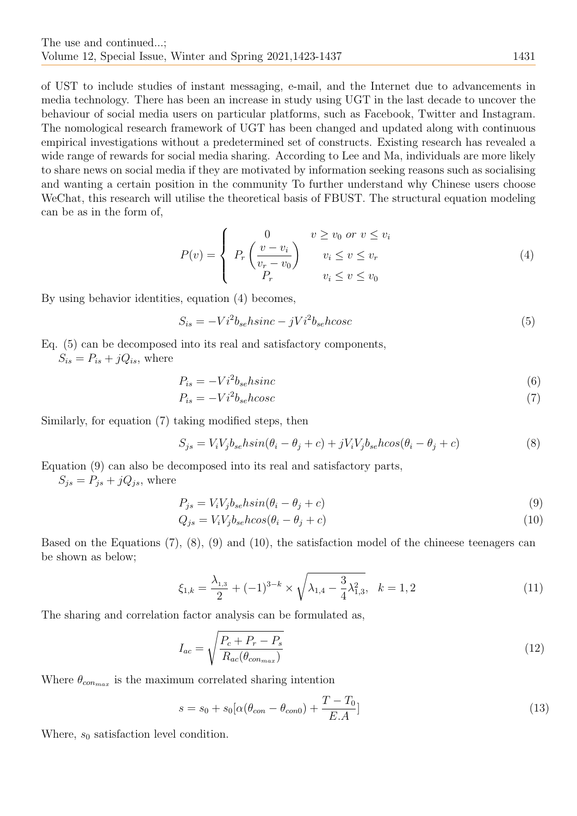of UST to include studies of instant messaging, e-mail, and the Internet due to advancements in media technology. There has been an increase in study using UGT in the last decade to uncover the behaviour of social media users on particular platforms, such as Facebook, Twitter and Instagram. The nomological research framework of UGT has been changed and updated along with continuous empirical investigations without a predetermined set of constructs. Existing research has revealed a wide range of rewards for social media sharing. According to Lee and Ma, individuals are more likely to share news on social media if they are motivated by information seeking reasons such as socialising and wanting a certain position in the community To further understand why Chinese users choose WeChat, this research will utilise the theoretical basis of FBUST. The structural equation modeling can be as in the form of,

$$
P(v) = \begin{cases} 0 & v \ge v_0 \text{ or } v \le v_i \\ P_r \left( \frac{v - v_i}{v_r - v_0} \right) & v_i \le v \le v_r \\ P_r & v_i \le v \le v_0 \end{cases}
$$
(4)

By using behavior identities, equation (4) becomes,

$$
S_{is} = -Vi^2 b_{se} h sinc - jVi^2 b_{se} h cosc \tag{5}
$$

Eq. (5) can be decomposed into its real and satisfactory components,

 $S_{is} = P_{is} + jQ_{is}$ , where

$$
P_{is} = -Vi^2 b_{se} h sinc \tag{6}
$$

$$
P_{is} = -Vi^2 b_{se} \, \text{h} \, \text{cos} \, \text{c} \tag{7}
$$

Similarly, for equation (7) taking modified steps, then

$$
S_{js} = V_i V_j b_{se} h \sin(\theta_i - \theta_j + c) + j V_i V_j b_{se} h \cos(\theta_i - \theta_j + c) \tag{8}
$$

Equation (9) can also be decomposed into its real and satisfactory parts,

 $S_{js} = P_{js} + jQ_{js}$ , where

$$
P_{js} = V_i V_j b_{se} h \sin(\theta_i - \theta_j + c) \tag{9}
$$

$$
Q_{js} = V_i V_j b_{se} h \cos(\theta_i - \theta_j + c) \tag{10}
$$

Based on the Equations (7), (8), (9) and (10), the satisfaction model of the chineese teenagers can be shown as below;

$$
\xi_{1,k} = \frac{\lambda_{1,3}}{2} + (-1)^{3-k} \times \sqrt{\lambda_{1,4} - \frac{3}{4}\lambda_{1,3}^2}, \quad k = 1, 2
$$
\n(11)

The sharing and correlation factor analysis can be formulated as,

$$
I_{ac} = \sqrt{\frac{P_c + P_r - P_s}{R_{ac}(\theta_{con_{max}})}}
$$
(12)

Where  $\theta_{connax}$  is the maximum correlated sharing intention

$$
s = s_0 + s_0 [\alpha (\theta_{con} - \theta_{con0}) + \frac{T - T_0}{E.A}]
$$
\n(13)

Where,  $s_0$  satisfaction level condition.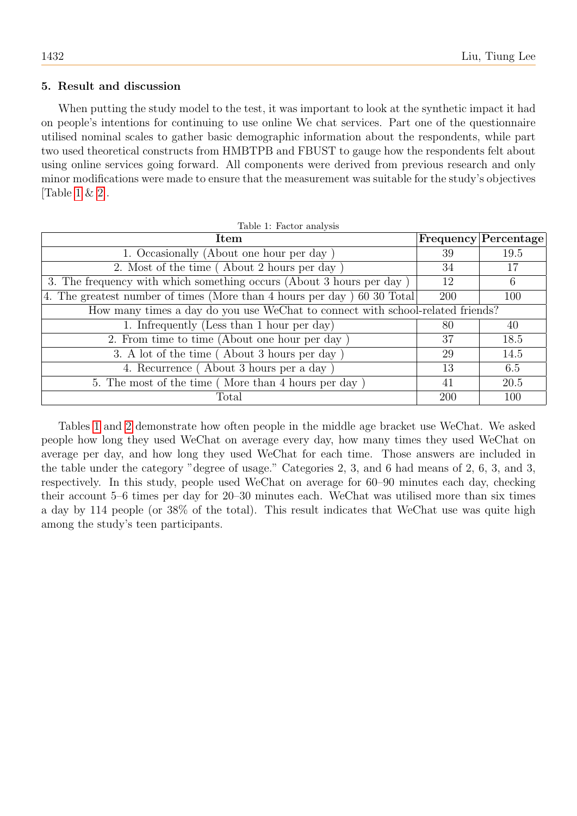# 5. Result and discussion

When putting the study model to the test, it was important to look at the synthetic impact it had on people's intentions for continuing to use online We chat services. Part one of the questionnaire utilised nominal scales to gather basic demographic information about the respondents, while part two used theoretical constructs from HMBTPB and FBUST to gauge how the respondents felt about using online services going forward. All components were derived from previous research and only minor modifications were made to ensure that the measurement was suitable for the study's objectives [Table [1](#page-9-0) & [2\]](#page-10-0).

<span id="page-9-0"></span>

| Item                                                                           |     | Frequency Percentage |
|--------------------------------------------------------------------------------|-----|----------------------|
| 1. Occasionally (About one hour per day)                                       | 39  | 19.5                 |
| 2. Most of the time (About 2 hours per day)                                    | 34  | 17                   |
| 3. The frequency with which something occurs (About 3 hours per day)           | 12  | 6                    |
| 4. The greatest number of times (More than 4 hours per day) 60 30 Total        | 200 | 100                  |
| How many times a day do you use WeChat to connect with school-related friends? |     |                      |
| 1. Infrequently (Less than 1 hour per day)                                     | 80  | 40                   |
| 2. From time to time (About one hour per day)                                  | 37  | 18.5                 |
| 3. A lot of the time (About 3 hours per day)                                   |     | 14.5                 |
| 4. Recurrence (About 3 hours per a day)                                        | 13  | 6.5                  |
| 5. The most of the time (More than 4 hours per day)                            | 41  | 20.5                 |
| Total                                                                          | 200 | 100                  |

Tables [1](#page-9-0) and [2](#page-10-0) demonstrate how often people in the middle age bracket use WeChat. We asked people how long they used WeChat on average every day, how many times they used WeChat on average per day, and how long they used WeChat for each time. Those answers are included in the table under the category "degree of usage." Categories 2, 3, and 6 had means of 2, 6, 3, and 3, respectively. In this study, people used WeChat on average for 60–90 minutes each day, checking their account 5–6 times per day for 20–30 minutes each. WeChat was utilised more than six times a day by 114 people (or 38% of the total). This result indicates that WeChat use was quite high among the study's teen participants.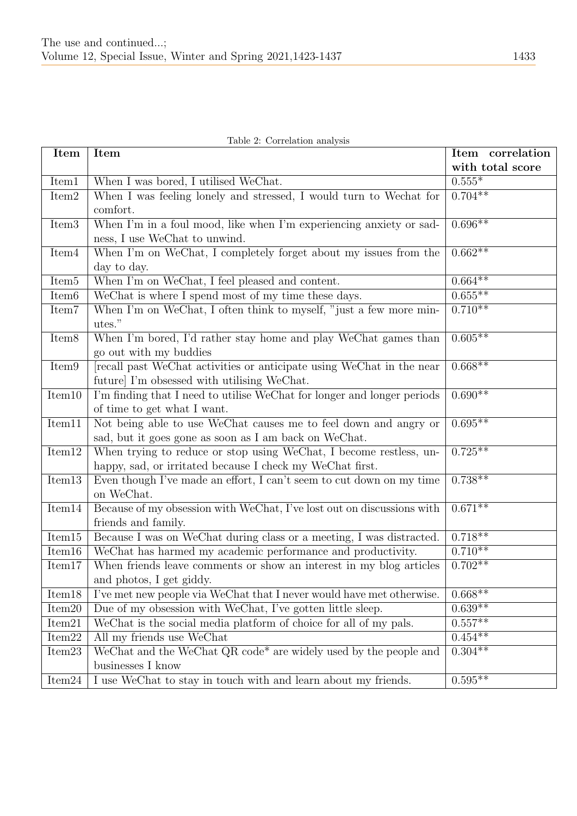|  | Table 2: Correlation analysis |  |
|--|-------------------------------|--|
|--|-------------------------------|--|

<span id="page-10-0"></span>

| <b>Item</b>         | Item                                                                    | Item correlation     |
|---------------------|-------------------------------------------------------------------------|----------------------|
|                     |                                                                         | with total score     |
| Item1               | When I was bored, I utilised WeChat.                                    | $0.555*$             |
| Item <sub>2</sub>   | When I was feeling lonely and stressed, I would turn to Wechat for      | $0.704**$            |
|                     | comfort.                                                                |                      |
| Item <sub>3</sub>   | When I'm in a foul mood, like when I'm experiencing anxiety or sad-     | $0.696**$            |
|                     | ness, I use WeChat to unwind.                                           |                      |
| Item <sub>4</sub>   | When I'm on WeChat, I completely forget about my issues from the        | $0.662**$            |
|                     | day to day.                                                             |                      |
| Item <sub>5</sub>   | When I'm on WeChat, I feel pleased and content.                         | $0.664**$            |
| Item <sub>6</sub>   | WeChat is where I spend most of my time these days.                     | $0.655***$           |
| Item7               | When I'm on WeChat, I often think to myself, "just a few more min-      | $0.710**$            |
|                     | utes."                                                                  |                      |
| Item $\overline{8}$ | When I'm bored, I'd rather stay home and play WeChat games than         | $0.605**$            |
|                     | go out with my buddies                                                  |                      |
| Item9               | recall past WeChat activities or anticipate using WeChat in the near    | $0.668**$            |
|                     | future I'm obsessed with utilising WeChat.                              |                      |
| Item10              | I'm finding that I need to utilise WeChat for longer and longer periods | $0.\overline{690**}$ |
|                     | of time to get what I want.                                             |                      |
| Item11              | Not being able to use WeChat causes me to feel down and angry or        | $0.695**$            |
|                     | sad, but it goes gone as soon as I am back on WeChat.                   |                      |
| Item12              | When trying to reduce or stop using WeChat, I become restless, un-      | $0.725***$           |
|                     | happy, sad, or irritated because I check my WeChat first.               |                      |
| Item13              | Even though I've made an effort, I can't seem to cut down on my time    | $0.738**$            |
|                     | on WeChat.                                                              |                      |
| Item14              | Because of my obsession with WeChat, I've lost out on discussions with  | $0.671**$            |
|                     | friends and family.                                                     |                      |
| Item15              | Because I was on WeChat during class or a meeting, I was distracted.    | $0.718**$            |
| Item16              | WeChat has harmed my academic performance and productivity.             | $0.710**$            |
| Item17              | When friends leave comments or show an interest in my blog articles     | $0.702**$            |
|                     | and photos, I get giddy.                                                |                      |
| Item <sub>18</sub>  | I've met new people via WeChat that I never would have met otherwise.   | $0.668**$            |
| Item <sub>20</sub>  | Due of my obsession with WeChat, I've gotten little sleep.              | $0.639**$            |
| Item21              | WeChat is the social media platform of choice for all of my pals.       | $0.557**$            |
| Item22              | All my friends use WeChat                                               | $0.454**$            |
| Item <sub>23</sub>  | WeChat and the WeChat QR code* are widely used by the people and        | $0.304***$           |
|                     | businesses I know                                                       |                      |
| Item <sub>24</sub>  | I use WeChat to stay in touch with and learn about my friends.          | $0.595**$            |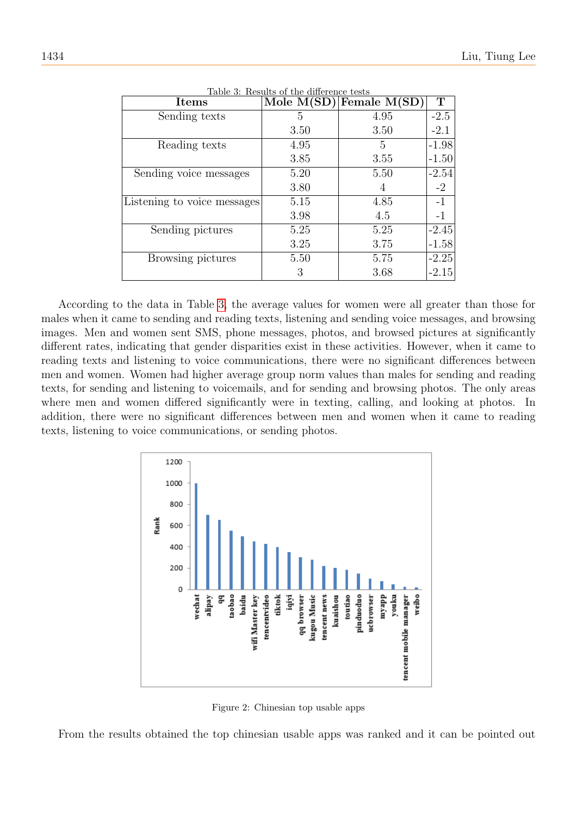<span id="page-11-0"></span>

| <b>Items</b>                | rapic 9. reputed of the unitrative tests<br>Mole $M(SD)$ | Female $M(SD)$ | T       |
|-----------------------------|----------------------------------------------------------|----------------|---------|
| Sending texts               | 5                                                        | 4.95           | $-2.5$  |
|                             | 3.50                                                     | 3.50           | $-2.1$  |
| Reading texts               | 4.95                                                     | 5              | $-1.98$ |
|                             | 3.85                                                     | 3.55           | $-1.50$ |
| Sending voice messages      | 5.20                                                     | 5.50           | $-2.54$ |
|                             | 3.80                                                     | 4              | $-2$    |
| Listening to voice messages | 5.15                                                     | 4.85           | $-1$    |
|                             | 3.98                                                     | 4.5            | $-1$    |
| Sending pictures            | 5.25                                                     | 5.25           | $-2.45$ |
|                             | 3.25                                                     | 3.75           | $-1.58$ |
| Browsing pictures           | 5.50                                                     | 5.75           | $-2.25$ |
|                             | 3                                                        | 3.68           | $-2.15$ |

Table 3: Results of the difference tests

According to the data in Table [3,](#page-11-0) the average values for women were all greater than those for males when it came to sending and reading texts, listening and sending voice messages, and browsing images. Men and women sent SMS, phone messages, photos, and browsed pictures at significantly different rates, indicating that gender disparities exist in these activities. However, when it came to reading texts and listening to voice communications, there were no significant differences between men and women. Women had higher average group norm values than males for sending and reading texts, for sending and listening to voicemails, and for sending and browsing photos. The only areas where men and women differed significantly were in texting, calling, and looking at photos. In addition, there were no significant differences between men and women when it came to reading texts, listening to voice communications, or sending photos.



<span id="page-11-1"></span>Figure 2: Chinesian top usable apps

From the results obtained the top chinesian usable apps was ranked and it can be pointed out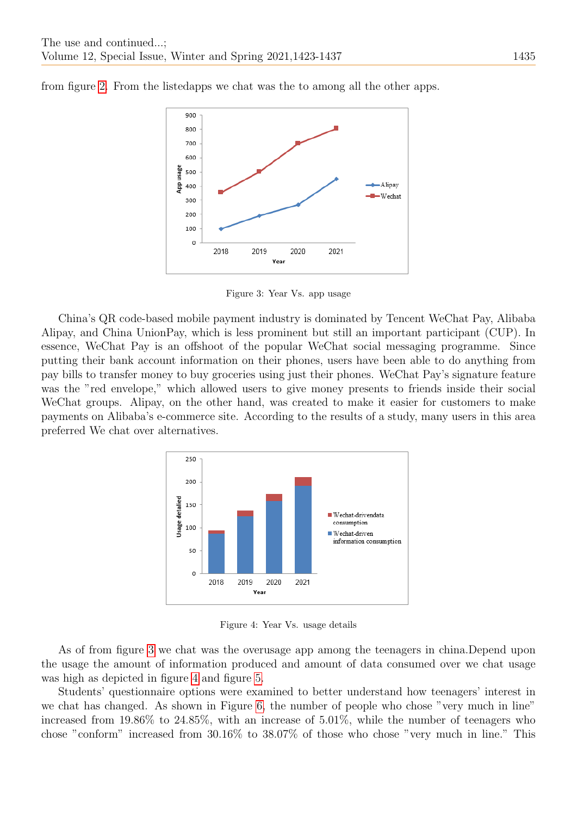

from figure [2.](#page-11-1) From the listedapps we chat was the to among all the other apps.

<span id="page-12-0"></span>Figure 3: Year Vs. app usage

China's QR code-based mobile payment industry is dominated by Tencent WeChat Pay, Alibaba Alipay, and China UnionPay, which is less prominent but still an important participant (CUP). In essence, WeChat Pay is an offshoot of the popular WeChat social messaging programme. Since putting their bank account information on their phones, users have been able to do anything from pay bills to transfer money to buy groceries using just their phones. WeChat Pay's signature feature was the "red envelope," which allowed users to give money presents to friends inside their social WeChat groups. Alipay, on the other hand, was created to make it easier for customers to make payments on Alibaba's e-commerce site. According to the results of a study, many users in this area preferred We chat over alternatives.



<span id="page-12-1"></span>Figure 4: Year Vs. usage details

As of from figure [3](#page-12-0) we chat was the overusage app among the teenagers in china.Depend upon the usage the amount of information produced and amount of data consumed over we chat usage was high as depicted in figure [4](#page-12-1) and figure [5.](#page-13-0)

Students' questionnaire options were examined to better understand how teenagers' interest in we chat has changed. As shown in Figure [6,](#page-13-1) the number of people who chose "very much in line" increased from 19.86% to 24.85%, with an increase of 5.01%, while the number of teenagers who chose "conform" increased from 30.16% to 38.07% of those who chose "very much in line." This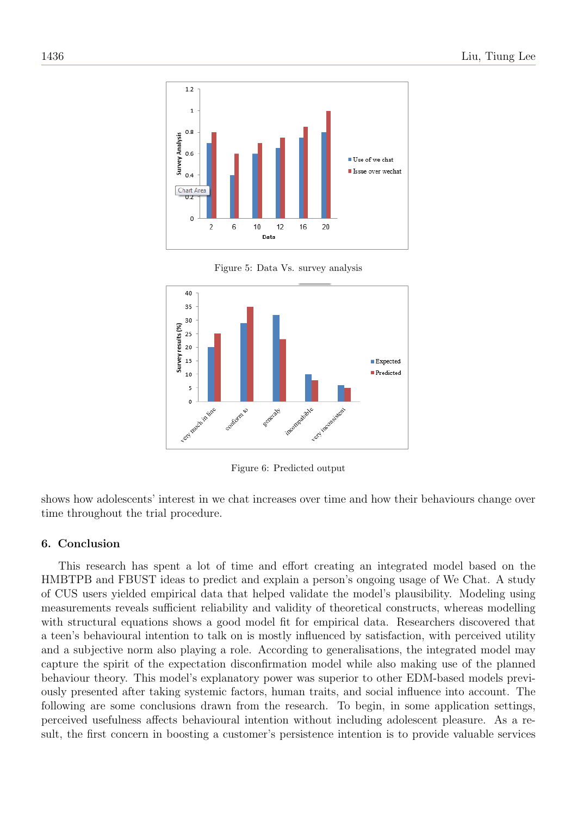

<span id="page-13-0"></span>Figure 5: Data Vs. survey analysis



<span id="page-13-1"></span>Figure 6: Predicted output

shows how adolescents' interest in we chat increases over time and how their behaviours change over time throughout the trial procedure.

# 6. Conclusion

This research has spent a lot of time and effort creating an integrated model based on the HMBTPB and FBUST ideas to predict and explain a person's ongoing usage of We Chat. A study of CUS users yielded empirical data that helped validate the model's plausibility. Modeling using measurements reveals sufficient reliability and validity of theoretical constructs, whereas modelling with structural equations shows a good model fit for empirical data. Researchers discovered that a teen's behavioural intention to talk on is mostly influenced by satisfaction, with perceived utility and a subjective norm also playing a role. According to generalisations, the integrated model may capture the spirit of the expectation disconfirmation model while also making use of the planned behaviour theory. This model's explanatory power was superior to other EDM-based models previously presented after taking systemic factors, human traits, and social influence into account. The following are some conclusions drawn from the research. To begin, in some application settings, perceived usefulness affects behavioural intention without including adolescent pleasure. As a result, the first concern in boosting a customer's persistence intention is to provide valuable services